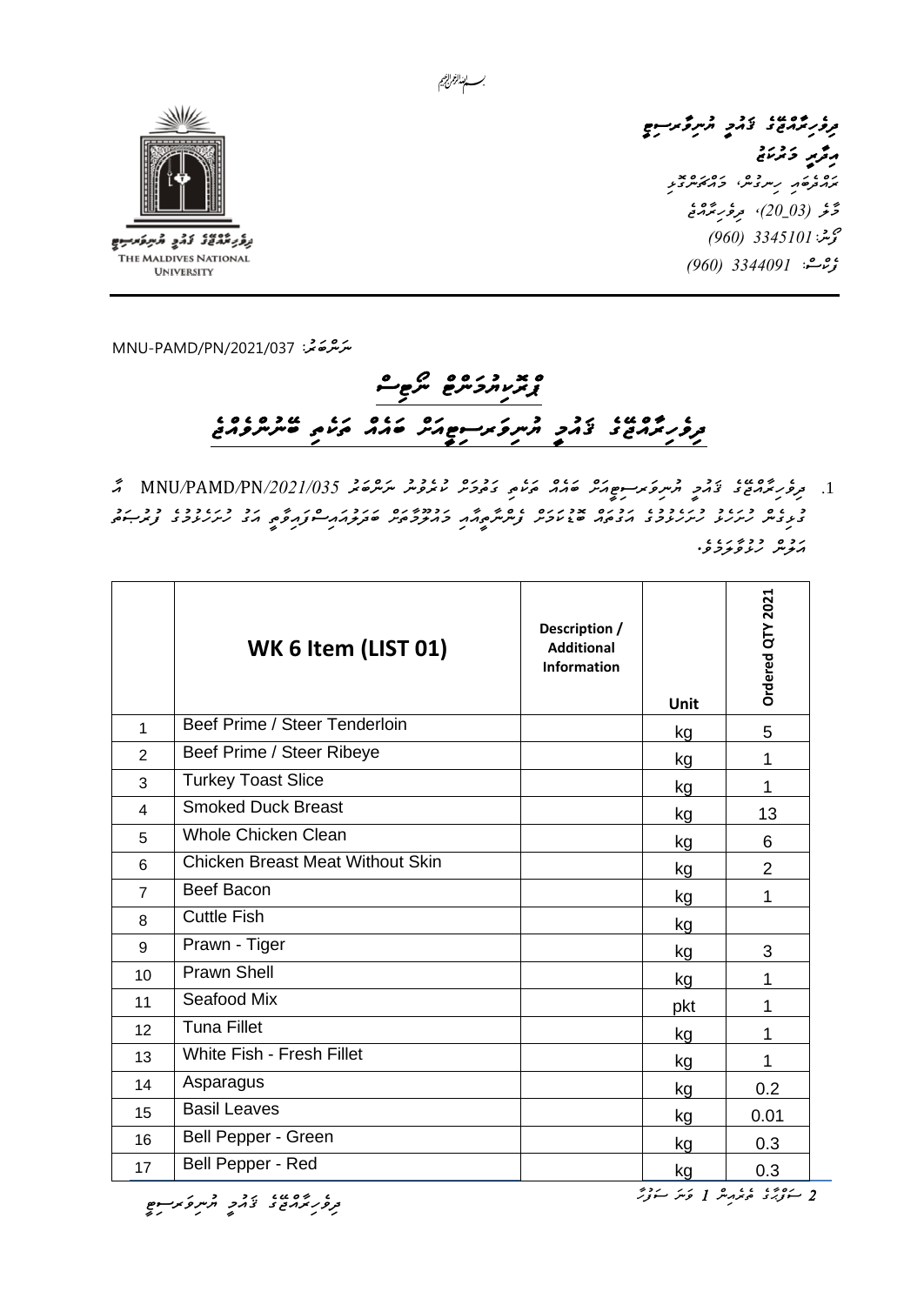

**UNIVERSITY** 

*ދިވެހިރާއްޖޭގެ ޤައުމީ ޔުނިވާރސިޓީ*  ر<sub>م</sub>ُّرْ<sub>مَ</sub> دُرْمَجْ ره و روم دوره بو<br>برا*زخوه د رس*روش کرامکرسرونو مَّرَ *فِي (20\_30)، مِروَّر بِرُ*مَّةٍ  *ފޯނ3345101:ު )960( ފެކްސ:ް 3344091 )960(* 

*ﯩﻨﺮُﻫ*ﺨَﻳ<sup>:</sup> 72021/037 MNU-PAMD/PN

## *ޕްރޮކިޔުމަންޓް ނޯޓިސް ދިވެހިރާއްޖޭގެ ޤައުމީ ޔުނިވަރސިޓީއަށް ބައެއް ތަކެތި ބޭނުންވެއްޖެ*

.1 *ދިވެހިރާއްޖޭގެ ޤައުމީ ޔުނިވަރސިޓީއަށް ބައެއް ތަކެތި ގަތުމަށް ކުރެވުނު ނަންބަރު /2021/035*PN*/*PAMD*/*MNU *އާ ގުޅިގެން ހުށަހެޅު ހުށަހެޅުމުގެ އަގުތައް ބޮޑުކަމަށް ފެންނާތީއާއި މައުލޫމާތަށް ބަދަލުއައިސްފައިވާތީ އަގު ހުށަހެޅުމުގެ ފުރުޞަތު*  رد ه دورد درد و.<br>موسر گروگورو.

|                         | WK 6 Item (LIST 01)                     | Description /<br><b>Additional</b><br><b>Information</b> | Unit | Ordered QTY 2021 |
|-------------------------|-----------------------------------------|----------------------------------------------------------|------|------------------|
| 1                       | Beef Prime / Steer Tenderloin           |                                                          | kg   | 5                |
| $\overline{2}$          | Beef Prime / Steer Ribeye               |                                                          | kg   | 1                |
| 3                       | <b>Turkey Toast Slice</b>               |                                                          | kg   | 1                |
| $\overline{\mathbf{4}}$ | <b>Smoked Duck Breast</b>               |                                                          | kg   | 13               |
| 5                       | <b>Whole Chicken Clean</b>              |                                                          | kg   | 6                |
| 6                       | <b>Chicken Breast Meat Without Skin</b> |                                                          | kg   | $\overline{2}$   |
| $\overline{7}$          | Beef Bacon                              |                                                          | kg   | 1                |
| 8                       | <b>Cuttle Fish</b>                      |                                                          | kg   |                  |
| 9                       | Prawn - Tiger                           |                                                          | kg   | 3                |
| 10                      | <b>Prawn Shell</b>                      |                                                          | kg   | 1                |
| 11                      | Seafood Mix                             |                                                          | pkt  | 1                |
| 12                      | <b>Tuna Fillet</b>                      |                                                          | kg   | 1                |
| 13                      | <b>White Fish - Fresh Fillet</b>        |                                                          | kg   | 1                |
| 14                      | Asparagus                               |                                                          | kg   | 0.2              |
| 15                      | <b>Basil Leaves</b>                     |                                                          | kg   | 0.01             |
| 16                      | Bell Pepper - Green                     |                                                          | kg   | 0.3              |
| 17                      | Bell Pepper - Red                       |                                                          | kg   | 0.3              |

<del>، **ع** ۱۵۵۶ م و در دوم رسوح<br>ترور برمری د از در در مرسوح</del>

*2 ސަފްޙާގެ ތެރެއިން 1 ވަނަ ސަފުހާ*

بسسا الغرائجيم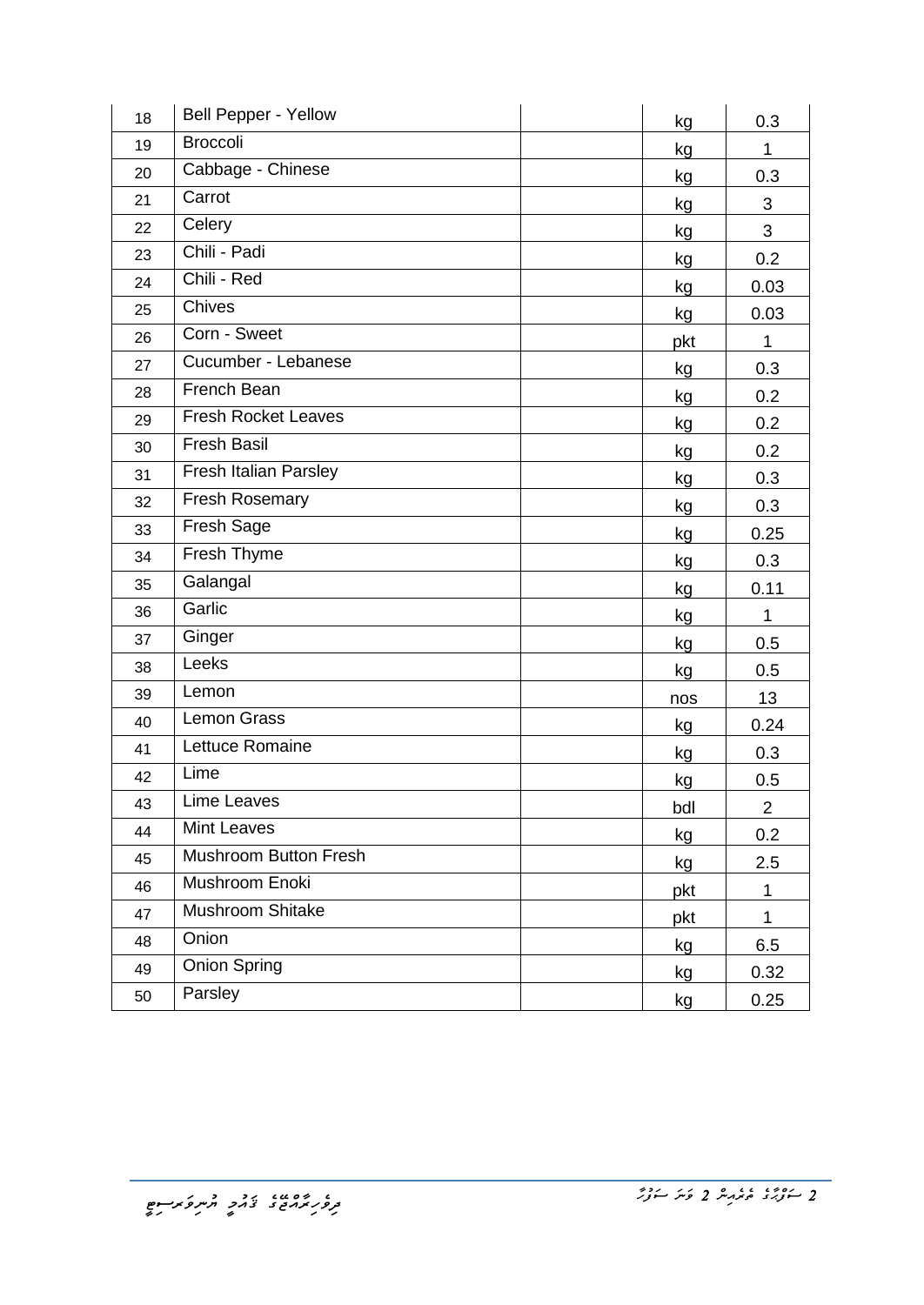| 18 | <b>Bell Pepper - Yellow</b> | kg  | 0.3            |
|----|-----------------------------|-----|----------------|
| 19 | <b>Broccoli</b>             | kg  | $\mathbf{1}$   |
| 20 | Cabbage - Chinese           | kg  | 0.3            |
| 21 | Carrot                      | kg  | 3              |
| 22 | Celery                      | kg  | 3              |
| 23 | Chili - Padi                | kg  | 0.2            |
| 24 | Chili - Red                 | kg  | 0.03           |
| 25 | Chives                      | kg  | 0.03           |
| 26 | Corn - Sweet                | pkt | 1              |
| 27 | Cucumber - Lebanese         | kg  | 0.3            |
| 28 | French Bean                 | kg  | 0.2            |
| 29 | <b>Fresh Rocket Leaves</b>  | kg  | 0.2            |
| 30 | <b>Fresh Basil</b>          | kg  | 0.2            |
| 31 | Fresh Italian Parsley       | kg  | 0.3            |
| 32 | <b>Fresh Rosemary</b>       | kg  | 0.3            |
| 33 | Fresh Sage                  | kg  | 0.25           |
| 34 | Fresh Thyme                 | kg  | 0.3            |
| 35 | Galangal                    | kg  | 0.11           |
| 36 | Garlic                      | kg  | 1              |
| 37 | Ginger                      | kg  | 0.5            |
| 38 | Leeks                       | kg  | 0.5            |
| 39 | Lemon                       | nos | 13             |
| 40 | Lemon Grass                 | kg  | 0.24           |
| 41 | Lettuce Romaine             | kg  | 0.3            |
| 42 | Lime                        | kg  | 0.5            |
| 43 | Lime Leaves                 | bdl | $\overline{2}$ |
| 44 | Mint Leaves                 | kg  | 0.2            |
| 45 | Mushroom Button Fresh       | kg  | 2.5            |
| 46 | Mushroom Enoki              | pkt | $\mathbf{1}$   |
| 47 | Mushroom Shitake            | pkt | $\mathbf{1}$   |
| 48 | Onion                       | kg  | 6.5            |
| 49 | <b>Onion Spring</b>         | kg  | 0.32           |
| 50 | Parsley                     | kg  | 0.25           |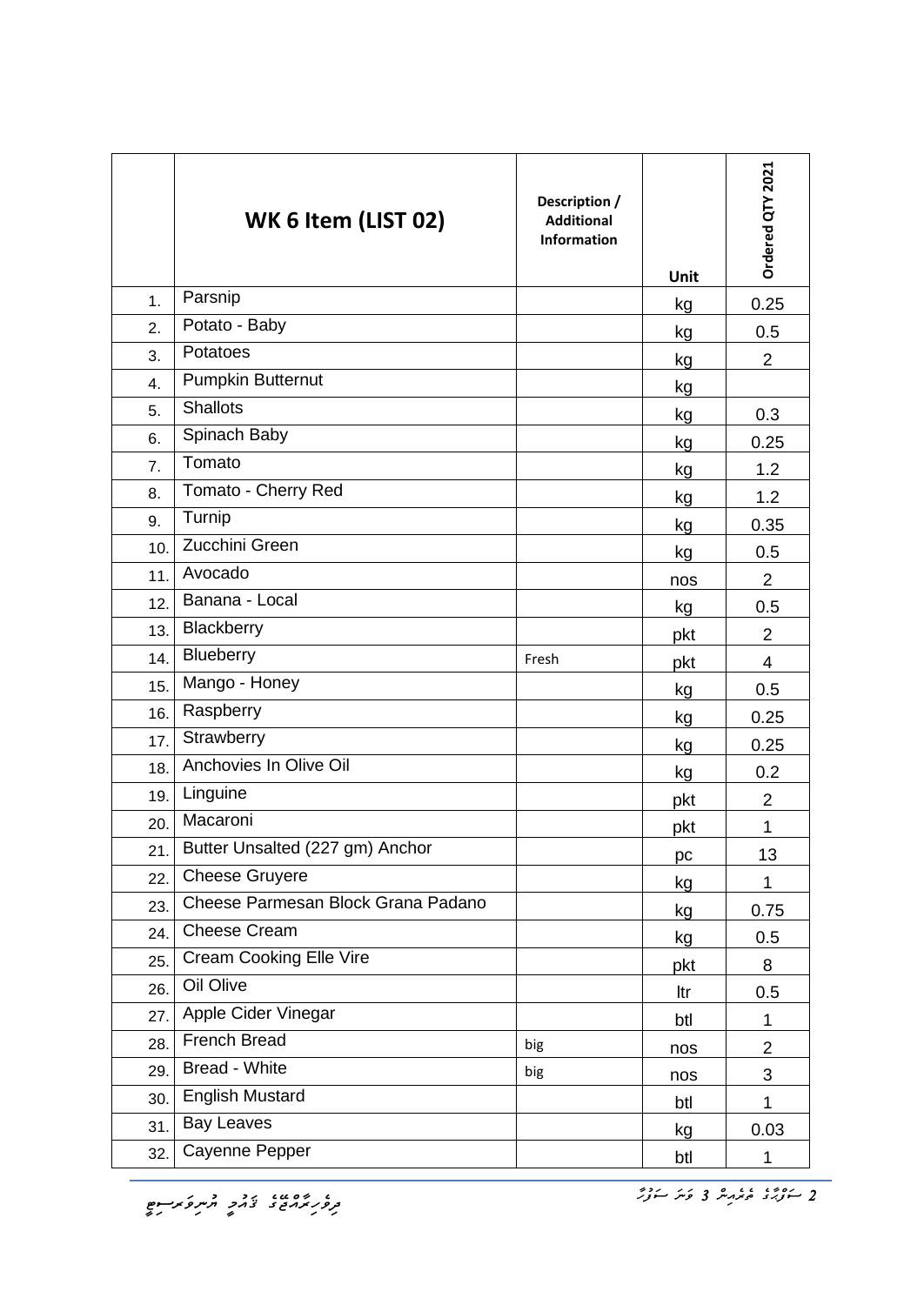|                  | WK 6 Item (LIST 02)                | Description /<br><b>Additional</b><br><b>Information</b> | Unit | Ordered QTY 2021 |
|------------------|------------------------------------|----------------------------------------------------------|------|------------------|
| 1 <sub>1</sub>   | Parsnip                            |                                                          | kg   | 0.25             |
| 2.               | Potato - Baby                      |                                                          | kg   | 0.5              |
| 3.               | Potatoes                           |                                                          | kg   | $\overline{2}$   |
| 4.               | <b>Pumpkin Butternut</b>           |                                                          | kg   |                  |
| 5.               | <b>Shallots</b>                    |                                                          | kg   | 0.3              |
| 6.               | Spinach Baby                       |                                                          | kg   | 0.25             |
| $\overline{7}$ . | Tomato                             |                                                          | kg   | 1.2              |
| 8.               | Tomato - Cherry Red                |                                                          | kg   | 1.2              |
| 9.               | Turnip                             |                                                          | kg   | 0.35             |
| 10.              | Zucchini Green                     |                                                          | kg   | 0.5              |
| 11.              | Avocado                            |                                                          | nos  | $\overline{2}$   |
| 12.              | Banana - Local                     |                                                          | kg   | 0.5              |
| 13.              | Blackberry                         |                                                          | pkt  | $\overline{2}$   |
| 14.              | Blueberry                          | Fresh                                                    | pkt  | 4                |
| 15.              | Mango - Honey                      |                                                          | kg   | 0.5              |
| 16.              | Raspberry                          |                                                          | kg   | 0.25             |
| 17.              | Strawberry                         |                                                          | kg   | 0.25             |
| 18.              | Anchovies In Olive Oil             |                                                          | kg   | 0.2              |
| 19.              | Linguine                           |                                                          | pkt  | $\overline{2}$   |
| 20.              | Macaroni                           |                                                          | pkt  | 1                |
| 21.              | Butter Unsalted (227 gm) Anchor    |                                                          | pc   | 13               |
| 22.              | <b>Cheese Gruyere</b>              |                                                          | kg   | $\mathbf{1}$     |
| 23.              | Cheese Parmesan Block Grana Padano |                                                          | kg   | 0.75             |
| 24.              | <b>Cheese Cream</b>                |                                                          | kg   | 0.5              |
| 25.              | <b>Cream Cooking Elle Vire</b>     |                                                          | pkt  | 8                |
| 26.              | Oil Olive                          |                                                          | ltr  | 0.5              |
| 27.              | Apple Cider Vinegar                |                                                          | btl  | $\mathbf{1}$     |
| 28.              | French Bread                       | big                                                      | nos  | $\overline{2}$   |
| 29.              | Bread - White                      | big                                                      | nos  | 3                |
| 30.              | <b>English Mustard</b>             |                                                          | btl  | 1                |
| 31.              | <b>Bay Leaves</b>                  |                                                          | kg   | 0.03             |
| 32.              | Cayenne Pepper                     |                                                          | btl  | 1                |

<del>،</del><br>تر*ور ہوروج خ*دم پر مرکز ہوسو<br>مرک*ز ہور* 

*2 ސަފްޙާގެ ތެރެއިން 3 ވަނަ ސަފުހާ*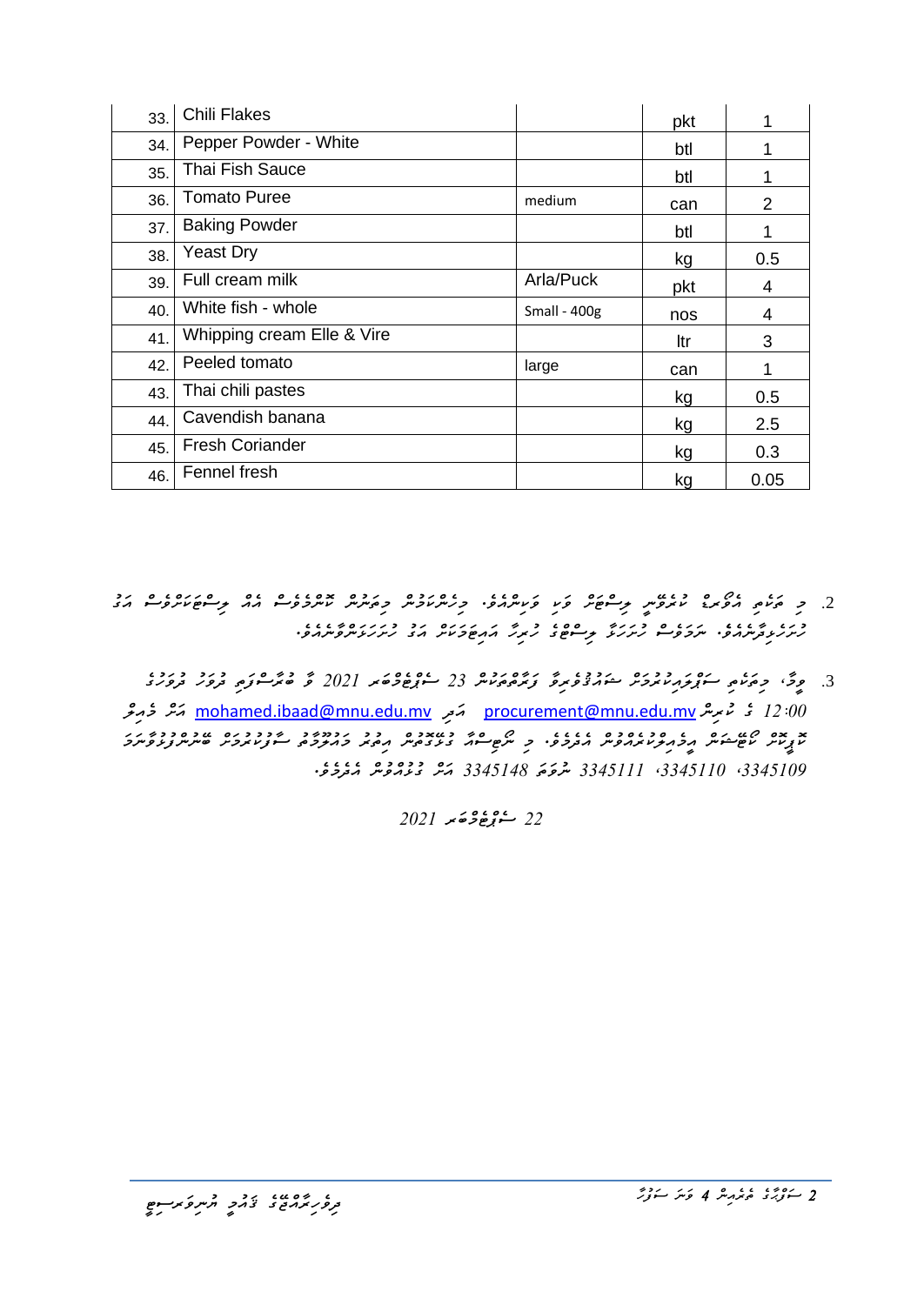| 33. | <b>Chili Flakes</b>        |                | pkt | 1    |
|-----|----------------------------|----------------|-----|------|
| 34. | Pepper Powder - White      |                | btl |      |
| 35. | Thai Fish Sauce            |                | btl |      |
| 36. | <b>Tomato Puree</b>        | medium         | can | 2    |
| 37. | <b>Baking Powder</b>       |                | btl | 1    |
| 38. | <b>Yeast Dry</b>           |                | kg  | 0.5  |
| 39. | Full cream milk            | Arla/Puck      | pkt | 4    |
| 40. | White fish - whole         | Small - $400g$ | nos | 4    |
| 41. | Whipping cream Elle & Vire |                | ltr | 3    |
| 42. | Peeled tomato              | large          | can | 1    |
| 43. | Thai chili pastes          |                | kg  | 0.5  |
| 44. | Cavendish banana           |                | kg  | 2.5  |
| 45. | <b>Fresh Coriander</b>     |                | kg  | 0.3  |
| 46. | Fennel fresh               |                | kg  | 0.05 |

- <u>.</u><br>2. و *مرتمی موند؛ نابروس پر حوضر وَی وَیسرمو، وِرسریاومیر وِمَسِرس نامرووسو ممد پر حوضرور مدد مد ހުށަހެޅިދާނެއެވ.ެ ނަމަވެސް ހުށަހަޅާ ލިސްޓްގެ ހުރިހާ އައިޓަމަކަށް އަގު ހުށަހަޅަންވާނެއެވ.ެ* 
	- .3 *ވީމ،ާ މިތަކެތި ސަޕްލައިކުރުމަށް ޝައުޤުވެރިވާ ފަރާތްތަކުން 23 ސެޕްޓެމްބަރ 2021 ވާ ބުރާސްފަތި ދުވަހު ދުވަހުގެ 12:00 ގެ ކުރިން* [mv.edu.mnu@procurement](mailto:procurement@mnu.edu.mv) *އަދި* [mv.edu.mnu@ibaad.mohamed](mailto:mohamed.ibaad@mnu.edu.mv) *އަށް މެއިލް ކޮޕީކޮށް ކޯޓޭޝަން އީމެއިލްކުރެއްވުން އެދެމެވ.ެ މި ނޯޓިސްއާ ގުޅޭގޮތުން އިތުރު މައުލޫމާތު ސާފުކުރުމަށް ބޭނުންފުޅުވާނަމަ ،3345109 ،3345110 3345111 ނުވަތަ 3345148 އަށް ގުޅުއްވުން އެދެމެވ.ެ*

*22 ސެޕްޓެމްބަރ 2021*